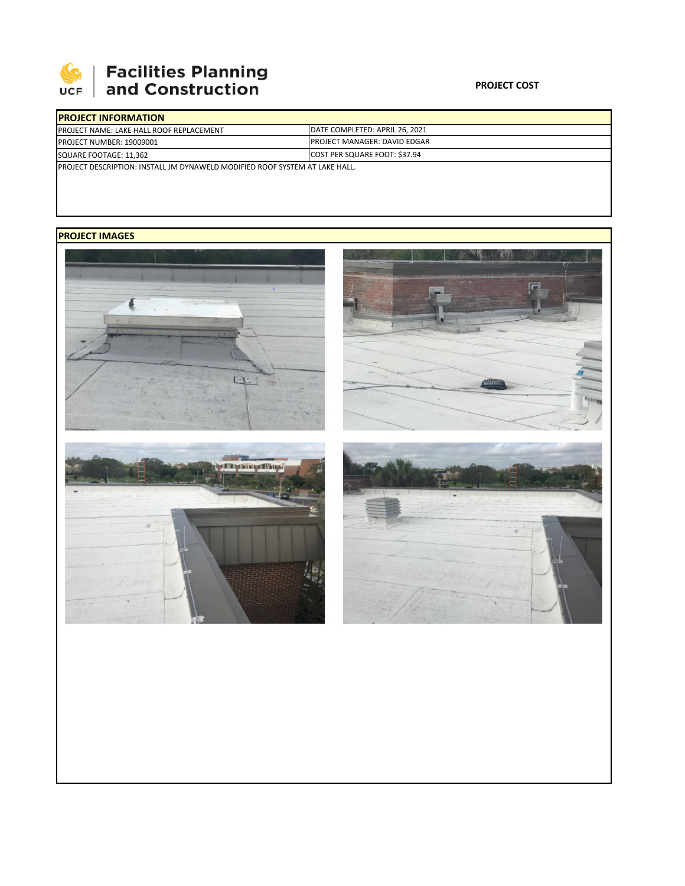

## **Facilities Planning<br>and Construction**

## **PROJECT COST**

| <b>IPROJECT INFORMATION</b>                                                         |                                        |
|-------------------------------------------------------------------------------------|----------------------------------------|
| <b>IPROJECT NAME: LAKE HALL ROOF REPLACEMENT</b>                                    | <b>IDATE COMPLETED: APRIL 26, 2021</b> |
| <b>PROJECT NUMBER: 19009001</b>                                                     | <b>IPROJECT MANAGER: DAVID EDGAR</b>   |
| SQUARE FOOTAGE: 11,362                                                              | COST PER SQUARE FOOT: \$37.94          |
| <b>IPROJECT DESCRIPTION: INSTALL JM DYNAWELD MODIFIED ROOF SYSTEM AT LAKE HALL.</b> |                                        |

## **PROJECT IMAGES**